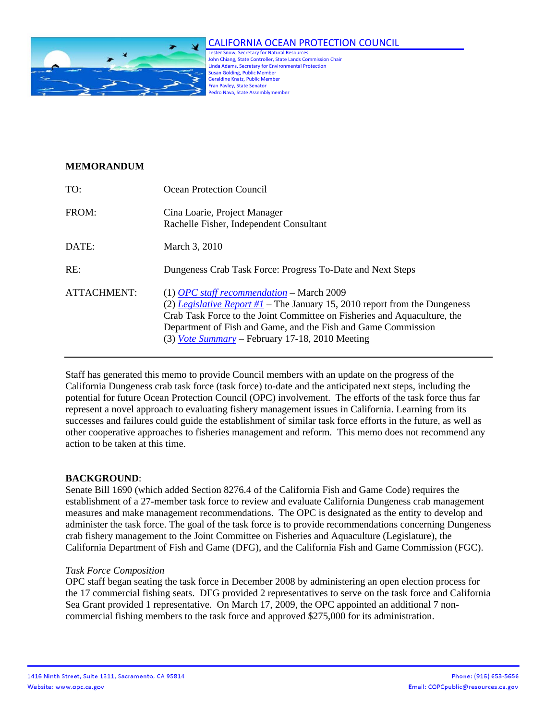

# CALIFORNIA OCEAN PROTECTION COUNCIL

Lester Snow, Secretary for Natural Resources John Chiang, State Controller, State Lands Commission Chair Linda Adams, Secretary for Environmental Protection Susan Golding, Public Member Geraldine Knatz, Public Member Fran Pavley, State Senator Pedro Nava, State Assemblymember

## **MEMORANDUM**

| TO:         | Ocean Protection Council                                                                                                                                                                                                                                                                                                           |
|-------------|------------------------------------------------------------------------------------------------------------------------------------------------------------------------------------------------------------------------------------------------------------------------------------------------------------------------------------|
| FROM:       | Cina Loarie, Project Manager<br>Rachelle Fisher, Independent Consultant                                                                                                                                                                                                                                                            |
| DATE:       | March 3, 2010                                                                                                                                                                                                                                                                                                                      |
| RE:         | Dungeness Crab Task Force: Progress To-Date and Next Steps                                                                                                                                                                                                                                                                         |
| ATTACHMENT: | $(1)$ OPC staff recommendation – March 2009<br>(2) Legislative Report #1 – The January 15, 2010 report from the Dungeness<br>Crab Task Force to the Joint Committee on Fisheries and Aquaculture, the<br>Department of Fish and Game, and the Fish and Game Commission<br>$(3)$ <i>Vote Summary</i> – February 17-18, 2010 Meeting |

Staff has generated this memo to provide Council members with an update on the progress of the California Dungeness crab task force (task force) to-date and the anticipated next steps, including the potential for future Ocean Protection Council (OPC) involvement. The efforts of the task force thus far represent a novel approach to evaluating fishery management issues in California. Learning from its successes and failures could guide the establishment of similar task force efforts in the future, as well as other cooperative approaches to fisheries management and reform. This memo does not recommend any action to be taken at this time.

### **BACKGROUND**:

Senate Bill 1690 (which added Section 8276.4 of the California Fish and Game Code) requires the establishment of a 27-member task force to review and evaluate California Dungeness crab management measures and make management recommendations. The OPC is designated as the entity to develop and administer the task force. The goal of the task force is to provide recommendations concerning Dungeness crab fishery management to the Joint Committee on Fisheries and Aquaculture (Legislature), the California Department of Fish and Game (DFG), and the California Fish and Game Commission (FGC).

### *Task Force Composition*

OPC staff began seating the task force in December 2008 by administering an open election process for the 17 commercial fishing seats. DFG provided 2 representatives to serve on the task force and California Sea Grant provided 1 representative. On March 17, 2009, the OPC appointed an additional 7 noncommercial fishing members to the task force and approved \$275,000 for its administration.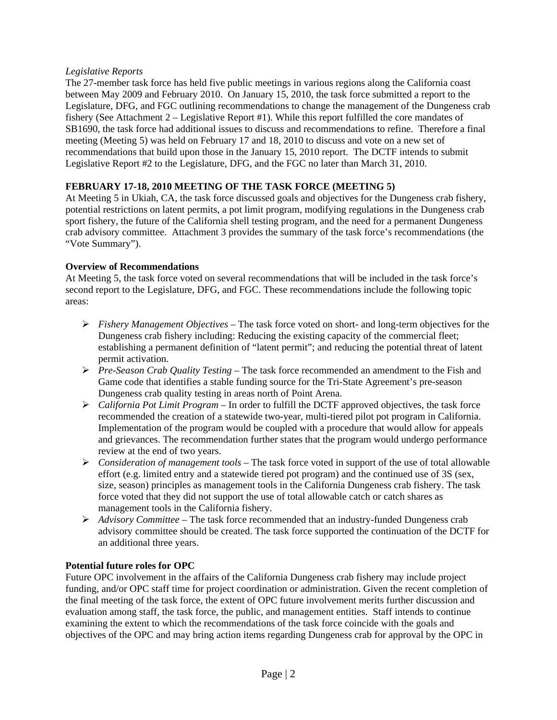## *Legislative Reports*

The 27-member task force has held five public meetings in various regions along the California coast between May 2009 and February 2010. On January 15, 2010, the task force submitted a report to the Legislature, DFG, and FGC outlining recommendations to change the management of the Dungeness crab fishery (See Attachment 2 – Legislative Report #1). While this report fulfilled the core mandates of SB1690, the task force had additional issues to discuss and recommendations to refine. Therefore a final meeting (Meeting 5) was held on February 17 and 18, 2010 to discuss and vote on a new set of recommendations that build upon those in the January 15, 2010 report. The DCTF intends to submit Legislative Report #2 to the Legislature, DFG, and the FGC no later than March 31, 2010.

# **FEBRUARY 17-18, 2010 MEETING OF THE TASK FORCE (MEETING 5)**

At Meeting 5 in Ukiah, CA, the task force discussed goals and objectives for the Dungeness crab fishery, potential restrictions on latent permits, a pot limit program, modifying regulations in the Dungeness crab sport fishery, the future of the California shell testing program, and the need for a permanent Dungeness crab advisory committee. Attachment 3 provides the summary of the task force's recommendations (the "Vote Summary").

## **Overview of Recommendations**

At Meeting 5, the task force voted on several recommendations that will be included in the task force's second report to the Legislature, DFG, and FGC. These recommendations include the following topic areas:

- ¾ *Fishery Management Objectives* The task force voted on short- and long-term objectives for the Dungeness crab fishery including: Reducing the existing capacity of the commercial fleet; establishing a permanent definition of "latent permit"; and reducing the potential threat of latent permit activation.
- ¾ *Pre-Season Crab Quality Testing* The task force recommended an amendment to the Fish and Game code that identifies a stable funding source for the Tri-State Agreement's pre-season Dungeness crab quality testing in areas north of Point Arena.
- ¾ *California Pot Limit Program* In order to fulfill the DCTF approved objectives, the task force recommended the creation of a statewide two-year, multi-tiered pilot pot program in California. Implementation of the program would be coupled with a procedure that would allow for appeals and grievances. The recommendation further states that the program would undergo performance review at the end of two years.
- ¾ *Consideration of management tools* The task force voted in support of the use of total allowable effort (e.g. limited entry and a statewide tiered pot program) and the continued use of 3S (sex, size, season) principles as management tools in the California Dungeness crab fishery. The task force voted that they did not support the use of total allowable catch or catch shares as management tools in the California fishery.
- ¾ *Advisory Committee* The task force recommended that an industry-funded Dungeness crab advisory committee should be created. The task force supported the continuation of the DCTF for an additional three years.

### **Potential future roles for OPC**

Future OPC involvement in the affairs of the California Dungeness crab fishery may include project funding, and/or OPC staff time for project coordination or administration. Given the recent completion of the final meeting of the task force, the extent of OPC future involvement merits further discussion and evaluation among staff, the task force, the public, and management entities. Staff intends to continue examining the extent to which the recommendations of the task force coincide with the goals and objectives of the OPC and may bring action items regarding Dungeness crab for approval by the OPC in